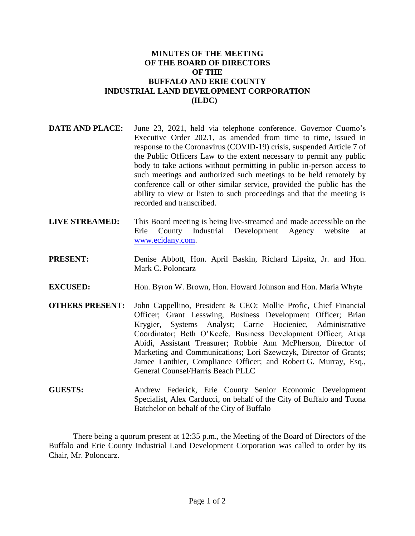## **MINUTES OF THE MEETING OF THE BOARD OF DIRECTORS OF THE BUFFALO AND ERIE COUNTY INDUSTRIAL LAND DEVELOPMENT CORPORATION (ILDC)**

- **DATE AND PLACE:** June 23, 2021, held via telephone conference. Governor Cuomo's Executive Order 202.1, as amended from time to time, issued in response to the Coronavirus (COVID-19) crisis, suspended Article 7 of the Public Officers Law to the extent necessary to permit any public body to take actions without permitting in public in-person access to such meetings and authorized such meetings to be held remotely by conference call or other similar service, provided the public has the ability to view or listen to such proceedings and that the meeting is recorded and transcribed.
- **LIVE STREAMED:** This Board meeting is being live-streamed and made accessible on the Erie County Industrial Development Agency website at [www.ecidany.com.](http://www.ecidany.com/)
- **PRESENT:** Denise Abbott, Hon. April Baskin, Richard Lipsitz, Jr. and Hon. Mark C. Poloncarz
- **EXCUSED:** Hon. Byron W. Brown, Hon. Howard Johnson and Hon. Maria Whyte
- **OTHERS PRESENT:** John Cappellino, President & CEO; Mollie Profic, Chief Financial Officer; Grant Lesswing, Business Development Officer; Brian Krygier, Systems Analyst; Carrie Hocieniec, Administrative Coordinator; Beth O'Keefe, Business Development Officer; Atiqa Abidi, Assistant Treasurer; Robbie Ann McPherson, Director of Marketing and Communications; Lori Szewczyk, Director of Grants; Jamee Lanthier, Compliance Officer; and Robert G. Murray, Esq., General Counsel/Harris Beach PLLC
- **GUESTS:** Andrew Federick, Erie County Senior Economic Development Specialist, Alex Carducci, on behalf of the City of Buffalo and Tuona Batchelor on behalf of the City of Buffalo

There being a quorum present at 12:35 p.m., the Meeting of the Board of Directors of the Buffalo and Erie County Industrial Land Development Corporation was called to order by its Chair, Mr. Poloncarz.